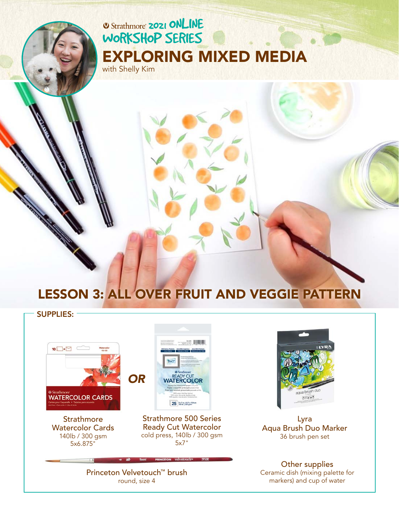# **2021 ONLINE** [WORKSHOP SERIES](https://www.strathmoreartiststudio.com/) [EXPLORING MIXED MEDIA](https://www.strathmoreartiststudio.com/groups/workshop-2-2021/forum/)

with Shelly Kim

# LESSON 3: ALL OVER FRUIT AND VEGGIE PATTERN

## SUPPLIES:  $\overline{\phantom{a}}$  10  $\overline{\phantom{a}}$  10  $\overline{\phantom{a}}$ **READY CUT**<br>**NATERCOLOR** *O[R](https://www.strathmoreartist.com/paint-watercolor/id-500-series-ready-cut-watercolor.html)***WATERCOLOR CARDS**  $25$   $\frac{5 \times 7 \ln{1927 \times 128 \text{ cm}}}{140 \ln{1300 \text{ cm}}}$ **Strathmore** Strathmore 500 Series Ready Cut Watercolor Watercolor Cards cold press, 140lb / 300 gsm 140lb / 300 gsm 5x7" 5x6.875"



[Lyra](https://www.fila.it/int/en/product/lyra-aqua-brush-duo/)  Aqua Brush Duo Marker 36 brush pen set

Other supplies Ceramic dish (mixing palette for markers) and cup of water

[Princeton Velvetouch™ brush](https://www.princetonbrush.com/velvetouch-series-3950-princeton-brush-company-brush-3950/)  round, size 4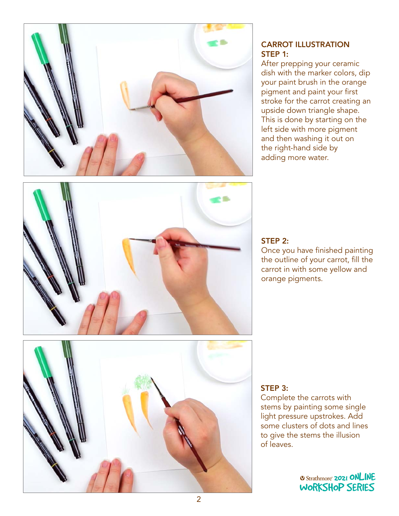

## CARROT ILLUSTRATION STEP 1:

After prepping your ceramic dish with the marker colors, dip your paint brush in the orange pigment and paint your first stroke for the carrot creating an upside down triangle shape. This is done by starting on the left side with more pigment and then washing it out on the right-hand side by adding more water.





## STEP 2:

Once you have finished painting the outline of your carrot, fill the carrot in with some yellow and orange pigments.

### STEP 3:

Complete the carrots with stems by painting some single light pressure upstrokes. Add some clusters of dots and lines some elasters or dots and lines<br>to give the stems the illusion of leaves. WORKSHOP SERIES

> **2021 ONLINE** [WORKSHOP SERIES](https://www.strathmoreartiststudio.com/)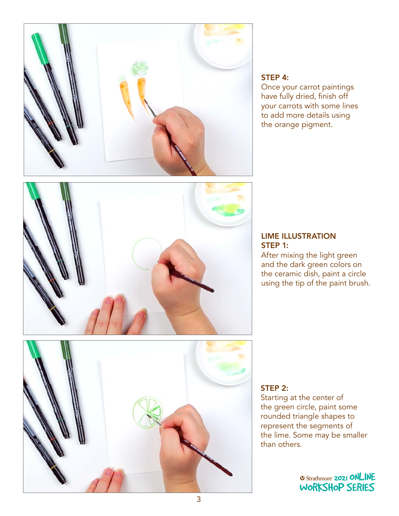

#### STEP 4:

Once your carrot paintings have fully dried, finish off your carrots with some lines to add more details using the orange pigment.



#### LIME ILLUSTRATION STEP 1:

After mixing the light green and the dark green colors on the ceramic dish, paint a circle using the tip of the paint brush.



## STEP 2:

Starting at the center of the green circle, paint some rounded triangle shapes to represent the segments of represent the segments of<br>the lime. Some may be smaller than others. WORKSHOP SERIES SERIES SERIES SERIES SERIES SERIES SERIES SERIES SERIES SERIES SERIES SERIES SERIES SERIES SERIES SERIES SERIES SERIES SERIES SERIES SERIES SERIES SERIES SERIES SERIES SERIES SERIES SERIES SERIES SERIES SER

> *O Strathmore* **2021 ONLINE** [WORKSHOP SERIES](https://www.strathmoreartiststudio.com/)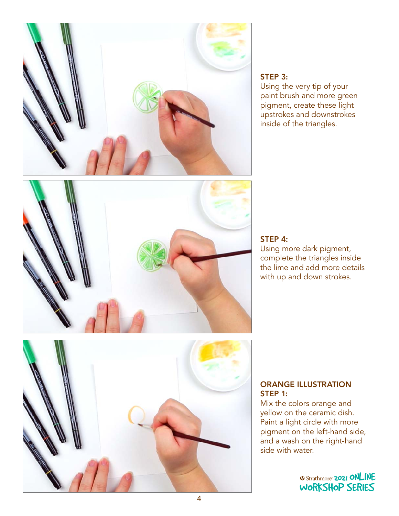

#### STEP 3:

Using the very tip of your paint brush and more green pigment, create these light upstrokes and downstrokes inside of the triangles.



#### STEP 4:

Using more dark pigment, complete the triangles inside the lime and add more details with up and down strokes.



#### ORANGE ILLUSTRATION STEP 1:

Mix the colors orange and yellow on the ceramic dish. Paint a light circle with more pigment on the left-hand side,<br>and suresh as the right band and a wash on the right-hand<br>sido with water side with water.

> *O Strathmore* **2021 ONLINE** [WORKSHOP SERIES](https://www.strathmoreartiststudio.com/)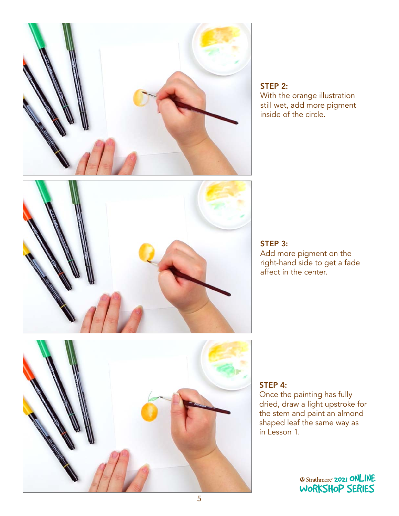

# STEP 2:

With the orange illustration still wet, add more pigment inside of the circle.



STEP 3: Add more pigment on the right-hand side to get a fade affect in the center.



## STEP 4:

Once the painting has fully dried, draw a light upstroke for the stem and paint an almond shaped leaf the same way as in Lesson 1.

> *Q Strathmore* **2021 ONLINE** [WORKSHOP SERIES](https://www.strathmoreartiststudio.com/)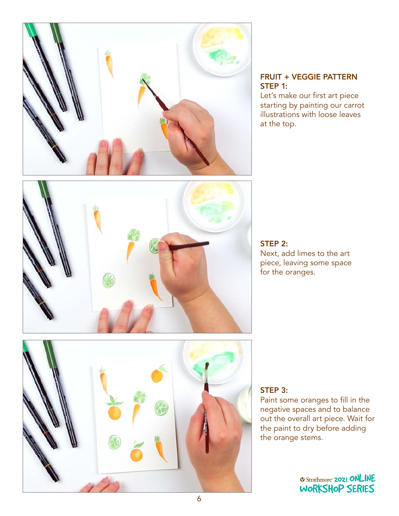

### FRUIT + VEGGIE PATTERN STEP 1:

Let's make our first art piece starting by painting our carrot illustrations with loose leaves at the top.



#### STEP 2: Next, add limes to the art piece, leaving some space for the oranges.



## STEP 3:

Paint some oranges to fill in the negative spaces and to balance out the overall art piece. Wait for the paint to dry before adding<br>the orange stems. the orange stems.  $\mathcal{L}$  series series series series series series series series series series series series series series series series series series series series series series series series series series series series series series se

> *Q Strathmore* **2021 ONLINE** [WORKSHOP SERIES](https://www.strathmoreartiststudio.com/)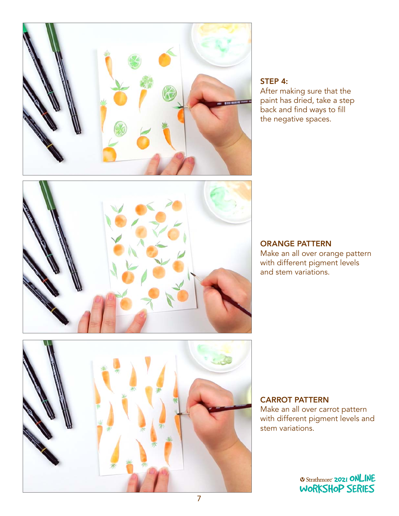

## STEP 4:

After making sure that the paint has dried, take a step back and find ways to fill the negative spaces.



#### ORANGE PATTERN

Make an all over orange pattern with different pigment levels and stem variations.



## CARROT PATTERN

Make an all over carrot pattern with different pigment levels and stem variations.

> **O Strathmore 2021 ONLINE** [WORKSHOP SERIES](https://www.strathmoreartiststudio.com/)